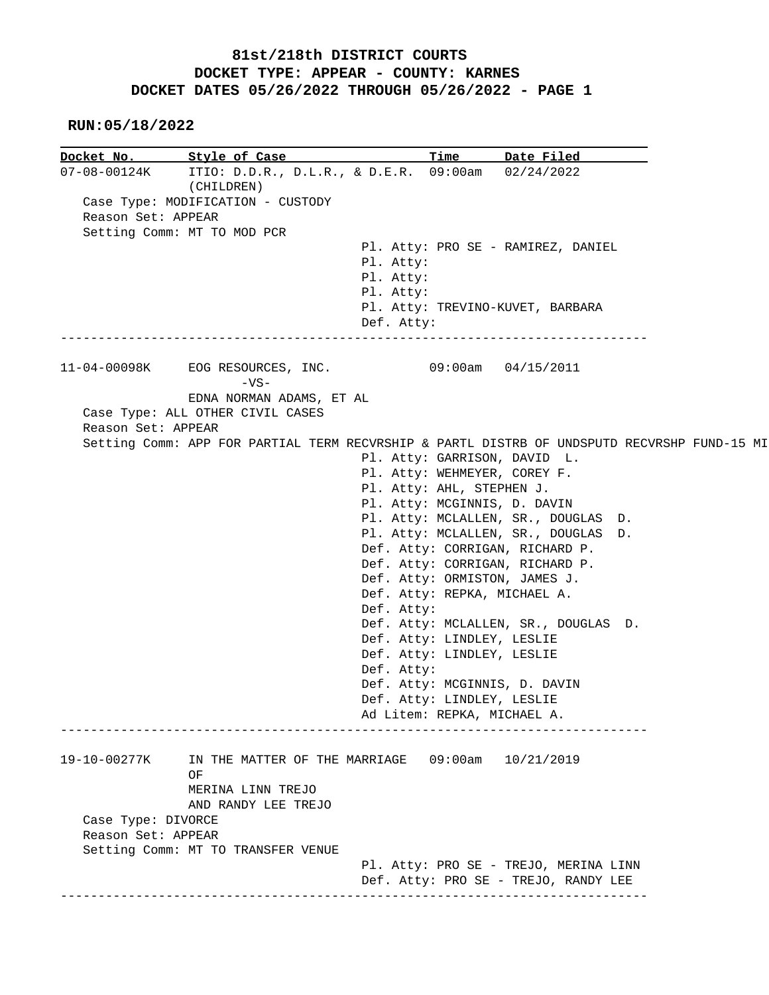## **81st/218th DISTRICT COURTS DOCKET TYPE: APPEAR - COUNTY: KARNES DOCKET DATES 05/26/2022 THROUGH 05/26/2022 - PAGE 1**

## **RUN:05/18/2022**

**Docket No. Style of Case Time Date Filed** 07-08-00124K ITIO: D.D.R., D.L.R., & D.E.R. 09:00am 02/24/2022 ITIO: D.D.R., D.L.R., & D.E.R. 09:00am 02/24/2022 (CHILDREN) Case Type: MODIFICATION - CUSTODY Reason Set: APPEAR Setting Comm: MT TO MOD PCR Pl. Atty: PRO SE - RAMIREZ, DANIEL Pl. Atty: Pl. Atty: Pl. Atty: Pl. Atty: TREVINO-KUVET, BARBARA Def. Atty: ------------------------------------------------------------------------------ 11-04-00098K EOG RESOURCES, INC. 09:00am 04/15/2011 -VS- EDNA NORMAN ADAMS, ET AL Case Type: ALL OTHER CIVIL CASES Reason Set: APPEAR Setting Comm: APP FOR PARTIAL TERM RECVRSHIP & PARTL DISTRB OF UNDSPUTD RECVRSHP FUND-15 MI Pl. Atty: GARRISON, DAVID L. Pl. Atty: WEHMEYER, COREY F. Pl. Atty: AHL, STEPHEN J. Pl. Atty: MCGINNIS, D. DAVIN Pl. Atty: MCLALLEN, SR., DOUGLAS D. Pl. Atty: MCLALLEN, SR., DOUGLAS D. Def. Atty: CORRIGAN, RICHARD P. Def. Atty: CORRIGAN, RICHARD P. Def. Atty: ORMISTON, JAMES J. Def. Atty: REPKA, MICHAEL A. Def. Atty: Def. Atty: MCLALLEN, SR., DOUGLAS D. Def. Atty: LINDLEY, LESLIE Def. Atty: LINDLEY, LESLIE Def. Atty: Def. Atty: MCGINNIS, D. DAVIN Def. Atty: LINDLEY, LESLIE Ad Litem: REPKA, MICHAEL A. ------------------------------------------------------------------------------ 19-10-00277K IN THE MATTER OF THE MARRIAGE 09:00am 10/21/2019 **OF OF**  MERINA LINN TREJO AND RANDY LEE TREJO Case Type: DIVORCE Reason Set: APPEAR Setting Comm: MT TO TRANSFER VENUE Pl. Atty: PRO SE - TREJO, MERINA LINN Def. Atty: PRO SE - TREJO, RANDY LEE ------------------------------------------------------------------------------